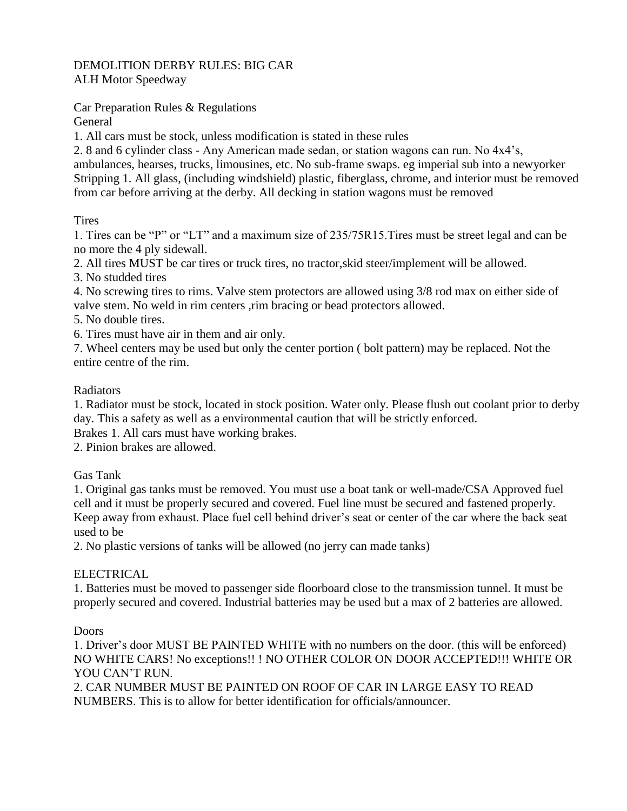# DEMOLITION DERBY RULES: BIG CAR ALH Motor Speedway

Car Preparation Rules & Regulations General

1. All cars must be stock, unless modification is stated in these rules

2. 8 and 6 cylinder class - Any American made sedan, or station wagons can run. No 4x4's, ambulances, hearses, trucks, limousines, etc. No sub-frame swaps. eg imperial sub into a newyorker Stripping 1. All glass, (including windshield) plastic, fiberglass, chrome, and interior must be removed from car before arriving at the derby. All decking in station wagons must be removed

Tires

1. Tires can be "P" or "LT" and a maximum size of 235/75R15.Tires must be street legal and can be no more the 4 ply sidewall.

2. All tires MUST be car tires or truck tires, no tractor,skid steer/implement will be allowed.

3. No studded tires

4. No screwing tires to rims. Valve stem protectors are allowed using 3/8 rod max on either side of valve stem. No weld in rim centers ,rim bracing or bead protectors allowed.

5. No double tires.

6. Tires must have air in them and air only.

7. Wheel centers may be used but only the center portion ( bolt pattern) may be replaced. Not the entire centre of the rim.

### Radiators

1. Radiator must be stock, located in stock position. Water only. Please flush out coolant prior to derby day. This a safety as well as a environmental caution that will be strictly enforced.

Brakes 1. All cars must have working brakes.

2. Pinion brakes are allowed.

Gas Tank

1. Original gas tanks must be removed. You must use a boat tank or well-made/CSA Approved fuel cell and it must be properly secured and covered. Fuel line must be secured and fastened properly. Keep away from exhaust. Place fuel cell behind driver's seat or center of the car where the back seat used to be

2. No plastic versions of tanks will be allowed (no jerry can made tanks)

## ELECTRICAL

1. Batteries must be moved to passenger side floorboard close to the transmission tunnel. It must be properly secured and covered. Industrial batteries may be used but a max of 2 batteries are allowed.

Doors

1. Driver's door MUST BE PAINTED WHITE with no numbers on the door. (this will be enforced) NO WHITE CARS! No exceptions!! ! NO OTHER COLOR ON DOOR ACCEPTED!!! WHITE OR YOU CAN'T RUN.

2. CAR NUMBER MUST BE PAINTED ON ROOF OF CAR IN LARGE EASY TO READ NUMBERS. This is to allow for better identification for officials/announcer.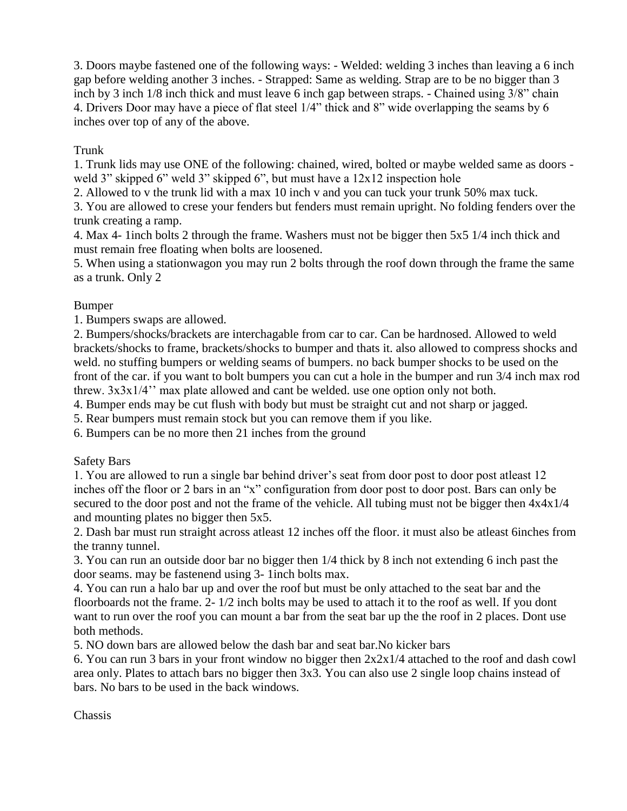3. Doors maybe fastened one of the following ways: - Welded: welding 3 inches than leaving a 6 inch gap before welding another 3 inches. - Strapped: Same as welding. Strap are to be no bigger than 3 inch by 3 inch 1/8 inch thick and must leave 6 inch gap between straps. - Chained using 3/8" chain 4. Drivers Door may have a piece of flat steel 1/4" thick and 8" wide overlapping the seams by 6 inches over top of any of the above.

# Trunk

1. Trunk lids may use ONE of the following: chained, wired, bolted or maybe welded same as doors weld 3" skipped 6" weld 3" skipped 6", but must have a  $12x12$  inspection hole

2. Allowed to v the trunk lid with a max 10 inch v and you can tuck your trunk 50% max tuck.

3. You are allowed to crese your fenders but fenders must remain upright. No folding fenders over the trunk creating a ramp.

4. Max 4- 1inch bolts 2 through the frame. Washers must not be bigger then 5x5 1/4 inch thick and must remain free floating when bolts are loosened.

5. When using a stationwagon you may run 2 bolts through the roof down through the frame the same as a trunk. Only 2

## Bumper

1. Bumpers swaps are allowed.

2. Bumpers/shocks/brackets are interchagable from car to car. Can be hardnosed. Allowed to weld brackets/shocks to frame, brackets/shocks to bumper and thats it. also allowed to compress shocks and weld. no stuffing bumpers or welding seams of bumpers. no back bumper shocks to be used on the front of the car. if you want to bolt bumpers you can cut a hole in the bumper and run 3/4 inch max rod threw. 3x3x1/4'' max plate allowed and cant be welded. use one option only not both.

4. Bumper ends may be cut flush with body but must be straight cut and not sharp or jagged.

5. Rear bumpers must remain stock but you can remove them if you like.

6. Bumpers can be no more then 21 inches from the ground

Safety Bars

1. You are allowed to run a single bar behind driver's seat from door post to door post atleast 12 inches off the floor or 2 bars in an "x" configuration from door post to door post. Bars can only be secured to the door post and not the frame of the vehicle. All tubing must not be bigger then 4x4x1/4 and mounting plates no bigger then 5x5.

2. Dash bar must run straight across atleast 12 inches off the floor. it must also be atleast 6inches from the tranny tunnel.

3. You can run an outside door bar no bigger then 1/4 thick by 8 inch not extending 6 inch past the door seams. may be fastenend using 3- 1inch bolts max.

4. You can run a halo bar up and over the roof but must be only attached to the seat bar and the floorboards not the frame. 2- 1/2 inch bolts may be used to attach it to the roof as well. If you dont want to run over the roof you can mount a bar from the seat bar up the the roof in 2 places. Dont use both methods.

5. NO down bars are allowed below the dash bar and seat bar.No kicker bars

6. You can run 3 bars in your front window no bigger then 2x2x1/4 attached to the roof and dash cowl area only. Plates to attach bars no bigger then 3x3. You can also use 2 single loop chains instead of bars. No bars to be used in the back windows.

Chassis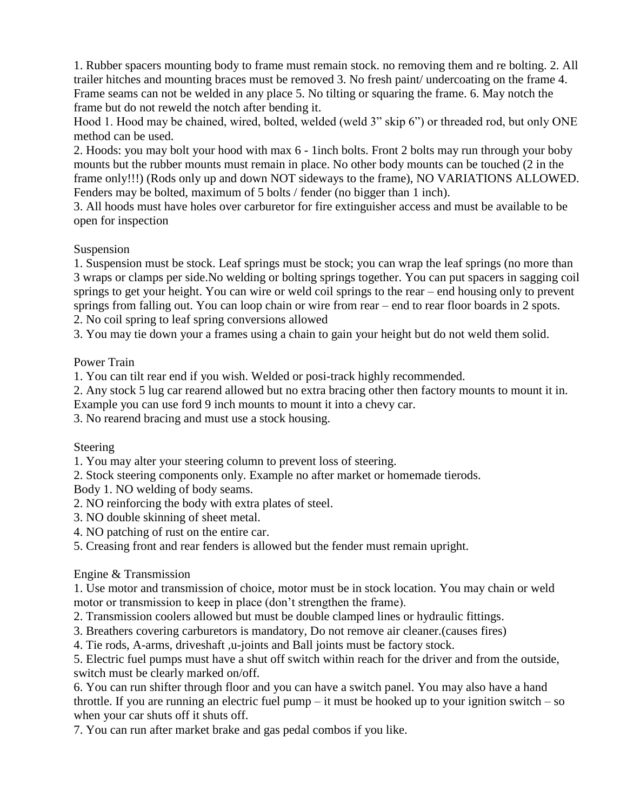1. Rubber spacers mounting body to frame must remain stock. no removing them and re bolting. 2. All trailer hitches and mounting braces must be removed 3. No fresh paint/ undercoating on the frame 4. Frame seams can not be welded in any place 5. No tilting or squaring the frame. 6. May notch the frame but do not reweld the notch after bending it.

Hood 1. Hood may be chained, wired, bolted, welded (weld 3" skip 6") or threaded rod, but only ONE method can be used.

2. Hoods: you may bolt your hood with max 6 - 1inch bolts. Front 2 bolts may run through your boby mounts but the rubber mounts must remain in place. No other body mounts can be touched (2 in the frame only!!!) (Rods only up and down NOT sideways to the frame), NO VARIATIONS ALLOWED. Fenders may be bolted, maximum of 5 bolts / fender (no bigger than 1 inch).

3. All hoods must have holes over carburetor for fire extinguisher access and must be available to be open for inspection

Suspension

1. Suspension must be stock. Leaf springs must be stock; you can wrap the leaf springs (no more than 3 wraps or clamps per side.No welding or bolting springs together. You can put spacers in sagging coil springs to get your height. You can wire or weld coil springs to the rear – end housing only to prevent springs from falling out. You can loop chain or wire from rear – end to rear floor boards in 2 spots. 2. No coil spring to leaf spring conversions allowed

3. You may tie down your a frames using a chain to gain your height but do not weld them solid.

### Power Train

1. You can tilt rear end if you wish. Welded or posi-track highly recommended.

2. Any stock 5 lug car rearend allowed but no extra bracing other then factory mounts to mount it in.

Example you can use ford 9 inch mounts to mount it into a chevy car.

3. No rearend bracing and must use a stock housing.

Steering

1. You may alter your steering column to prevent loss of steering.

2. Stock steering components only. Example no after market or homemade tierods.

Body 1. NO welding of body seams.

2. NO reinforcing the body with extra plates of steel.

- 3. NO double skinning of sheet metal.
- 4. NO patching of rust on the entire car.
- 5. Creasing front and rear fenders is allowed but the fender must remain upright.

## Engine & Transmission

1. Use motor and transmission of choice, motor must be in stock location. You may chain or weld motor or transmission to keep in place (don't strengthen the frame).

2. Transmission coolers allowed but must be double clamped lines or hydraulic fittings.

3. Breathers covering carburetors is mandatory, Do not remove air cleaner.(causes fires)

4. Tie rods, A-arms, driveshaft ,u-joints and Ball joints must be factory stock.

5. Electric fuel pumps must have a shut off switch within reach for the driver and from the outside, switch must be clearly marked on/off.

6. You can run shifter through floor and you can have a switch panel. You may also have a hand throttle. If you are running an electric fuel pump – it must be hooked up to your ignition switch – so when your car shuts off it shuts off.

7. You can run after market brake and gas pedal combos if you like.